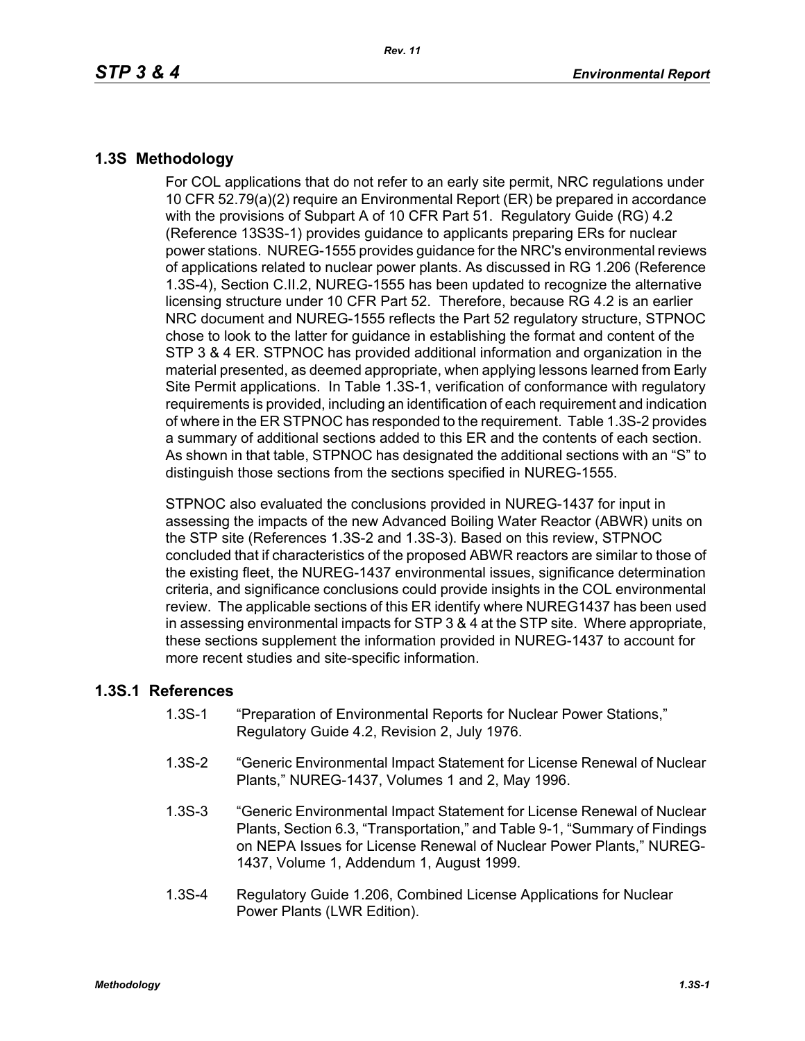## **1.3S Methodology**

For COL applications that do not refer to an early site permit, NRC regulations under 10 CFR 52.79(a)(2) require an Environmental Report (ER) be prepared in accordance with the provisions of Subpart A of 10 CFR Part 51. Regulatory Guide (RG) 4.2 (Reference 13S3S-1) provides guidance to applicants preparing ERs for nuclear power stations. NUREG-1555 provides guidance for the NRC's environmental reviews of applications related to nuclear power plants. As discussed in RG 1.206 (Reference 1.3S-4), Section C.II.2, NUREG-1555 has been updated to recognize the alternative licensing structure under 10 CFR Part 52. Therefore, because RG 4.2 is an earlier NRC document and NUREG-1555 reflects the Part 52 regulatory structure, STPNOC chose to look to the latter for guidance in establishing the format and content of the STP 3 & 4 ER. STPNOC has provided additional information and organization in the material presented, as deemed appropriate, when applying lessons learned from Early Site Permit applications. In Table 1.3S-1, verification of conformance with regulatory requirements is provided, including an identification of each requirement and indication of where in the ER STPNOC has responded to the requirement. Table 1.3S-2 provides a summary of additional sections added to this ER and the contents of each section. As shown in that table, STPNOC has designated the additional sections with an "S" to distinguish those sections from the sections specified in NUREG-1555.

STPNOC also evaluated the conclusions provided in NUREG-1437 for input in assessing the impacts of the new Advanced Boiling Water Reactor (ABWR) units on the STP site (References 1.3S-2 and 1.3S-3). Based on this review, STPNOC concluded that if characteristics of the proposed ABWR reactors are similar to those of the existing fleet, the NUREG-1437 environmental issues, significance determination criteria, and significance conclusions could provide insights in the COL environmental review. The applicable sections of this ER identify where NUREG1437 has been used in assessing environmental impacts for STP 3 & 4 at the STP site. Where appropriate, these sections supplement the information provided in NUREG-1437 to account for more recent studies and site-specific information.

## **1.3S.1 References**

- 1.3S-1 "Preparation of Environmental Reports for Nuclear Power Stations," Regulatory Guide 4.2, Revision 2, July 1976.
- 1.3S-2 "Generic Environmental Impact Statement for License Renewal of Nuclear Plants," NUREG-1437, Volumes 1 and 2, May 1996.
- 1.3S-3 "Generic Environmental Impact Statement for License Renewal of Nuclear Plants, Section 6.3, "Transportation," and Table 9-1, "Summary of Findings on NEPA Issues for License Renewal of Nuclear Power Plants," NUREG-1437, Volume 1, Addendum 1, August 1999.
- 1.3S-4 Regulatory Guide 1.206, Combined License Applications for Nuclear Power Plants (LWR Edition).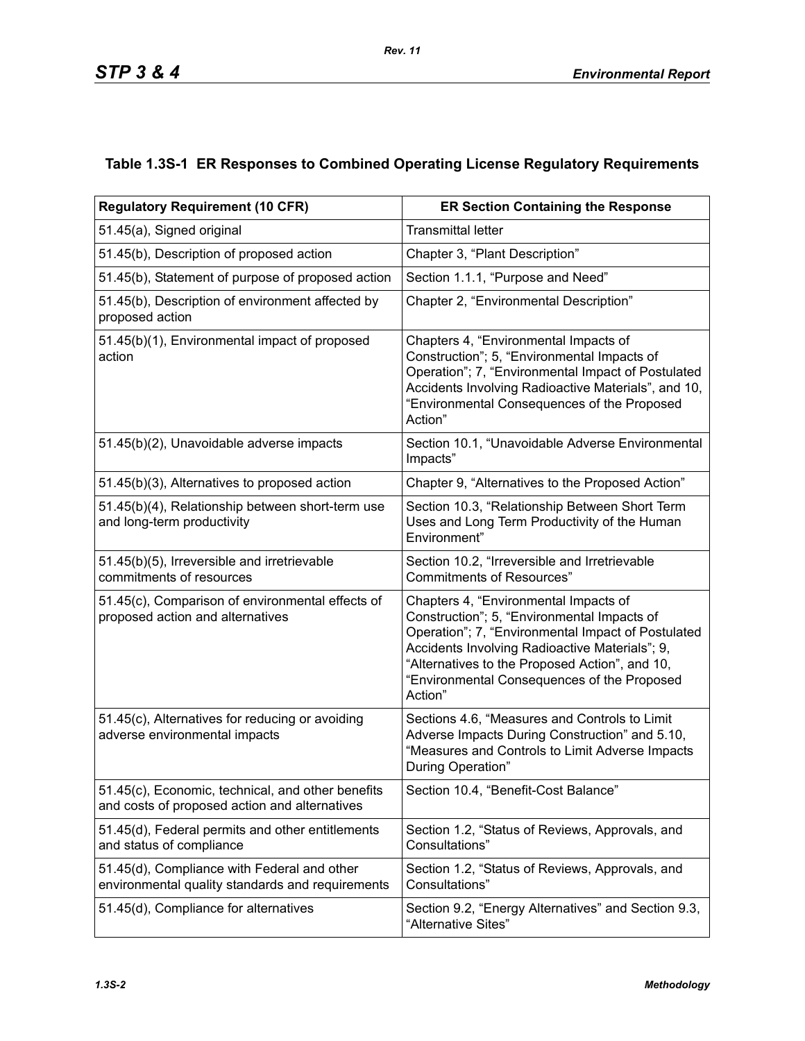|  |  | Table 1.3S-1 ER Responses to Combined Operating License Regulatory Requirements |
|--|--|---------------------------------------------------------------------------------|
|  |  |                                                                                 |

| <b>Regulatory Requirement (10 CFR)</b>                                                             | <b>ER Section Containing the Response</b>                                                                                                                                                                                                                                                                |  |  |
|----------------------------------------------------------------------------------------------------|----------------------------------------------------------------------------------------------------------------------------------------------------------------------------------------------------------------------------------------------------------------------------------------------------------|--|--|
| 51.45(a), Signed original                                                                          | <b>Transmittal letter</b>                                                                                                                                                                                                                                                                                |  |  |
| 51.45(b), Description of proposed action                                                           | Chapter 3, "Plant Description"                                                                                                                                                                                                                                                                           |  |  |
| 51.45(b), Statement of purpose of proposed action                                                  | Section 1.1.1, "Purpose and Need"                                                                                                                                                                                                                                                                        |  |  |
| 51.45(b), Description of environment affected by<br>proposed action                                | Chapter 2, "Environmental Description"                                                                                                                                                                                                                                                                   |  |  |
| 51.45(b)(1), Environmental impact of proposed<br>action                                            | Chapters 4, "Environmental Impacts of<br>Construction"; 5, "Environmental Impacts of<br>Operation"; 7, "Environmental Impact of Postulated<br>Accidents Involving Radioactive Materials", and 10,<br>"Environmental Consequences of the Proposed<br>Action"                                              |  |  |
| 51.45(b)(2), Unavoidable adverse impacts                                                           | Section 10.1, "Unavoidable Adverse Environmental<br>Impacts"                                                                                                                                                                                                                                             |  |  |
| 51.45(b)(3), Alternatives to proposed action                                                       | Chapter 9, "Alternatives to the Proposed Action"                                                                                                                                                                                                                                                         |  |  |
| 51.45(b)(4), Relationship between short-term use<br>and long-term productivity                     | Section 10.3, "Relationship Between Short Term<br>Uses and Long Term Productivity of the Human<br>Environment"                                                                                                                                                                                           |  |  |
| 51.45(b)(5), Irreversible and irretrievable<br>commitments of resources                            | Section 10.2, "Irreversible and Irretrievable<br><b>Commitments of Resources"</b>                                                                                                                                                                                                                        |  |  |
| 51.45(c), Comparison of environmental effects of<br>proposed action and alternatives               | Chapters 4, "Environmental Impacts of<br>Construction"; 5, "Environmental Impacts of<br>Operation"; 7, "Environmental Impact of Postulated<br>Accidents Involving Radioactive Materials"; 9,<br>"Alternatives to the Proposed Action", and 10,<br>"Environmental Consequences of the Proposed<br>Action" |  |  |
| 51.45(c), Alternatives for reducing or avoiding<br>adverse environmental impacts                   | Sections 4.6, "Measures and Controls to Limit<br>Adverse Impacts During Construction" and 5.10,<br>"Measures and Controls to Limit Adverse Impacts<br>During Operation"                                                                                                                                  |  |  |
| 51.45(c), Economic, technical, and other benefits<br>and costs of proposed action and alternatives | Section 10.4, "Benefit-Cost Balance"                                                                                                                                                                                                                                                                     |  |  |
| 51.45(d), Federal permits and other entitlements<br>and status of compliance                       | Section 1.2, "Status of Reviews, Approvals, and<br>Consultations"                                                                                                                                                                                                                                        |  |  |
| 51.45(d), Compliance with Federal and other<br>environmental quality standards and requirements    | Section 1.2, "Status of Reviews, Approvals, and<br>Consultations"                                                                                                                                                                                                                                        |  |  |
| 51.45(d), Compliance for alternatives                                                              | Section 9.2, "Energy Alternatives" and Section 9.3,<br>"Alternative Sites"                                                                                                                                                                                                                               |  |  |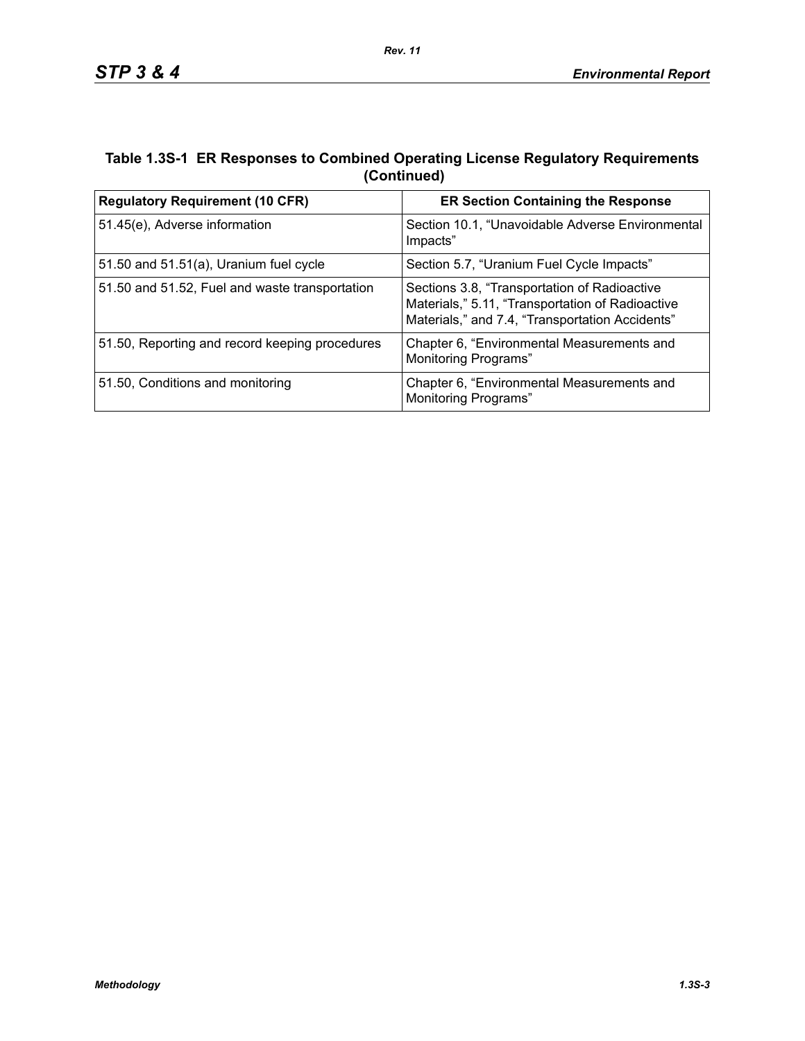## **Table 1.3S-1 ER Responses to Combined Operating License Regulatory Requirements (Continued)**

| <b>Regulatory Requirement (10 CFR)</b>         | <b>ER Section Containing the Response</b>                                                                                                           |  |  |
|------------------------------------------------|-----------------------------------------------------------------------------------------------------------------------------------------------------|--|--|
| 51.45(e), Adverse information                  | Section 10.1, "Unavoidable Adverse Environmental<br>Impacts"                                                                                        |  |  |
| 51.50 and 51.51(a), Uranium fuel cycle         | Section 5.7, "Uranium Fuel Cycle Impacts"                                                                                                           |  |  |
| 51.50 and 51.52, Fuel and waste transportation | Sections 3.8, "Transportation of Radioactive<br>Materials," 5.11, "Transportation of Radioactive<br>Materials," and 7.4, "Transportation Accidents" |  |  |
| 51.50, Reporting and record keeping procedures | Chapter 6, "Environmental Measurements and<br><b>Monitoring Programs"</b>                                                                           |  |  |
| 51.50, Conditions and monitoring               | Chapter 6, "Environmental Measurements and<br><b>Monitoring Programs"</b>                                                                           |  |  |